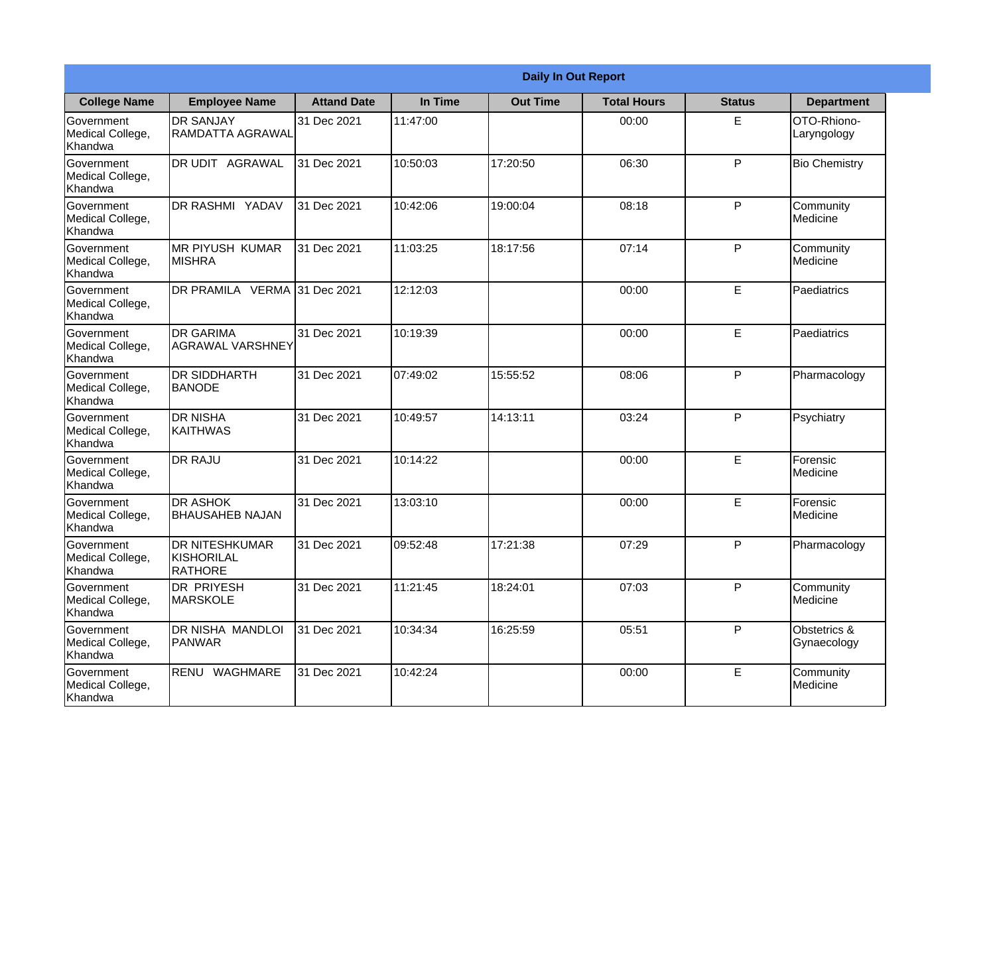|                                                  |                                                       | <b>Daily In Out Report</b> |          |                 |                    |               |                             |  |
|--------------------------------------------------|-------------------------------------------------------|----------------------------|----------|-----------------|--------------------|---------------|-----------------------------|--|
| <b>College Name</b>                              | <b>Employee Name</b>                                  | <b>Attand Date</b>         | In Time  | <b>Out Time</b> | <b>Total Hours</b> | <b>Status</b> | <b>Department</b>           |  |
| Government<br>Medical College,<br>Khandwa        | <b>DR SANJAY</b><br><b>RAMDATTA AGRAWAL</b>           | 31 Dec 2021                | 11:47:00 |                 | 00:00              | E             | OTO-Rhiono-<br>Laryngology  |  |
| Government<br>Medical College,<br>Khandwa        | DR UDIT AGRAWAL                                       | 31 Dec 2021                | 10:50:03 | 17:20:50        | 06:30              | P             | <b>Bio Chemistry</b>        |  |
| Government<br>Medical College,<br>Khandwa        | DR RASHMI YADAV                                       | 31 Dec 2021                | 10:42:06 | 19:00:04        | 08:18              | P             | Community<br>Medicine       |  |
| Government<br>Medical College,<br>Khandwa        | <b>MR PIYUSH KUMAR</b><br><b>MISHRA</b>               | 31 Dec 2021                | 11:03:25 | 18:17:56        | 07:14              | P             | Community<br>Medicine       |  |
| Government<br>Medical College,<br>Khandwa        | DR PRAMILA VERMA 31 Dec 2021                          |                            | 12:12:03 |                 | 00:00              | E             | Paediatrics                 |  |
| Government<br>Medical College,<br>Khandwa        | <b>DR GARIMA</b><br><b>AGRAWAL VARSHNEY</b>           | 31 Dec 2021                | 10:19:39 |                 | 00:00              | E             | Paediatrics                 |  |
| Government<br>Medical College,<br>Khandwa        | <b>DR SIDDHARTH</b><br><b>BANODE</b>                  | 31 Dec 2021                | 07:49:02 | 15:55:52        | 08:06              | P             | Pharmacology                |  |
| Government<br>Medical College,<br>Khandwa        | <b>DR NISHA</b><br>KAITHWAS                           | 31 Dec 2021                | 10:49:57 | 14:13:11        | 03:24              | P             | Psychiatry                  |  |
| <b>Government</b><br>Medical College,<br>Khandwa | <b>DR RAJU</b>                                        | 31 Dec 2021                | 10:14:22 |                 | 00:00              | E             | Forensic<br>Medicine        |  |
| Government<br>Medical College,<br>Khandwa        | <b>DR ASHOK</b><br><b>BHAUSAHEB NAJAN</b>             | 31 Dec 2021                | 13:03:10 |                 | 00:00              | E             | Forensic<br>Medicine        |  |
| Government<br>Medical College,<br>Khandwa        | <b>DR NITESHKUMAR</b><br><b>KISHORILAL</b><br>RATHORE | 31 Dec 2021                | 09:52:48 | 17:21:38        | 07:29              | P             | Pharmacology                |  |
| Government<br>Medical College,<br>Khandwa        | DR PRIYESH<br>MARSKOLE                                | 31 Dec 2021                | 11:21:45 | 18:24:01        | 07:03              | P             | Community<br>Medicine       |  |
| Government<br>Medical College,<br>Khandwa        | DR NISHA MANDLOI<br><b>PANWAR</b>                     | 31 Dec 2021                | 10:34:34 | 16:25:59        | 05:51              | P             | Obstetrics &<br>Gynaecology |  |
| Government<br>Medical College,<br>Khandwa        | RENU WAGHMARE                                         | 31 Dec 2021                | 10:42:24 |                 | 00:00              | E             | Community<br>Medicine       |  |